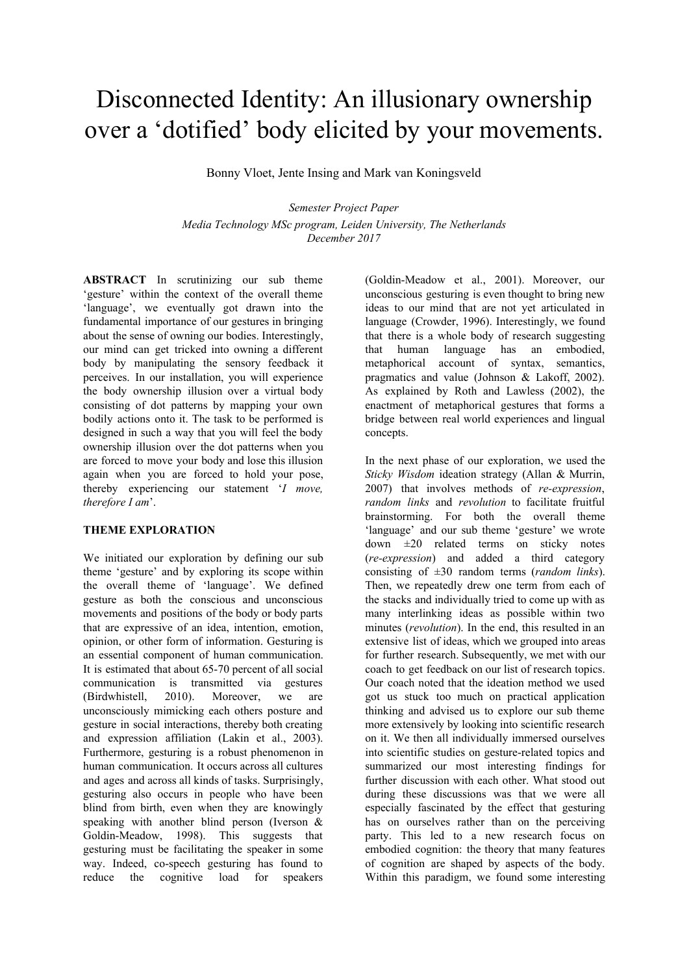# Disconnected Identity: An illusionary ownership over a 'dotified' body elicited by your movements.

Bonny Vloet, Jente Insing and Mark van Koningsveld

*Semester Project Paper Media Technology MSc program, Leiden University, The Netherlands December 2017*

**ABSTRACT** In scrutinizing our sub theme 'gesture' within the context of the overall theme 'language', we eventually got drawn into the fundamental importance of our gestures in bringing about the sense of owning our bodies. Interestingly, our mind can get tricked into owning a different body by manipulating the sensory feedback it perceives. In our installation, you will experience the body ownership illusion over a virtual body consisting of dot patterns by mapping your own bodily actions onto it. The task to be performed is designed in such a way that you will feel the body ownership illusion over the dot patterns when you are forced to move your body and lose this illusion again when you are forced to hold your pose, thereby experiencing our statement '*I move, therefore I am*'.

## **THEME EXPLORATION**

We initiated our exploration by defining our sub theme 'gesture' and by exploring its scope within the overall theme of 'language'. We defined gesture as both the conscious and unconscious movements and positions of the body or body parts that are expressive of an idea, intention, emotion, opinion, or other form of information. Gesturing is an essential component of human communication. It is estimated that about 65-70 percent of all social communication is transmitted via gestures (Birdwhistell, 2010). Moreover, we are unconsciously mimicking each others posture and gesture in social interactions, thereby both creating and expression affiliation (Lakin et al., 2003). Furthermore, gesturing is a robust phenomenon in human communication. It occurs across all cultures and ages and across all kinds of tasks. Surprisingly, gesturing also occurs in people who have been blind from birth, even when they are knowingly speaking with another blind person (Iverson & Goldin-Meadow, 1998). This suggests that gesturing must be facilitating the speaker in some way. Indeed, co-speech gesturing has found to reduce the cognitive load for speakers

(Goldin-Meadow et al., 2001). Moreover, our unconscious gesturing is even thought to bring new ideas to our mind that are not yet articulated in language (Crowder, 1996). Interestingly, we found that there is a whole body of research suggesting that human language has an embodied, metaphorical account of syntax, semantics, pragmatics and value (Johnson & Lakoff, 2002). As explained by Roth and Lawless (2002), the enactment of metaphorical gestures that forms a bridge between real world experiences and lingual concepts.

In the next phase of our exploration, we used the *Sticky Wisdom* ideation strategy (Allan & Murrin, 2007) that involves methods of *re-expression*, *random links* and *revolution* to facilitate fruitful brainstorming. For both the overall theme 'language' and our sub theme 'gesture' we wrote down ±20 related terms on sticky notes (*re-expression*) and added a third category consisting of ±30 random terms (*random links*). Then, we repeatedly drew one term from each of the stacks and individually tried to come up with as many interlinking ideas as possible within two minutes (*revolution*). In the end, this resulted in an extensive list of ideas, which we grouped into areas for further research. Subsequently, we met with our coach to get feedback on our list of research topics. Our coach noted that the ideation method we used got us stuck too much on practical application thinking and advised us to explore our sub theme more extensively by looking into scientific research on it. We then all individually immersed ourselves into scientific studies on gesture-related topics and summarized our most interesting findings for further discussion with each other. What stood out during these discussions was that we were all especially fascinated by the effect that gesturing has on ourselves rather than on the perceiving party. This led to a new research focus on embodied cognition: the theory that many features of cognition are shaped by aspects of the body. Within this paradigm, we found some interesting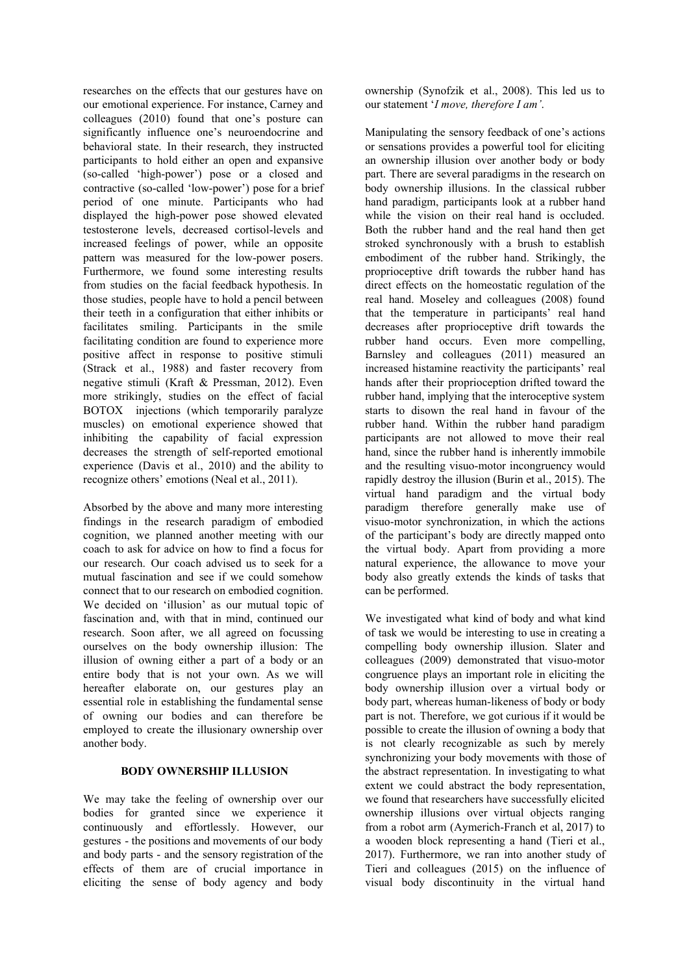researches on the effects that our gestures have on our emotional experience. For instance, Carney and colleagues (2010) found that one's posture can significantly influence one's neuroendocrine and behavioral state. In their research, they instructed participants to hold either an open and expansive (so-called 'high-power') pose or a closed and contractive (so-called 'low-power') pose for a brief period of one minute. Participants who had displayed the high-power pose showed elevated testosterone levels, decreased cortisol-levels and increased feelings of power, while an opposite pattern was measured for the low-power posers. Furthermore, we found some interesting results from studies on the facial feedback hypothesis. In those studies, people have to hold a pencil between their teeth in a configuration that either inhibits or facilitates smiling. Participants in the smile facilitating condition are found to experience more positive affect in response to positive stimuli (Strack et al., 1988) and faster recovery from negative stimuli (Kraft & Pressman, 2012). Even more strikingly, studies on the effect of facial BOTOX injections (which temporarily paralyze muscles) on emotional experience showed that inhibiting the capability of facial expression decreases the strength of self-reported emotional experience (Davis et al., 2010) and the ability to recognize others' emotions (Neal et al., 2011).

Absorbed by the above and many more interesting findings in the research paradigm of embodied cognition, we planned another meeting with our coach to ask for advice on how to find a focus for our research. Our coach advised us to seek for a mutual fascination and see if we could somehow connect that to our research on embodied cognition. We decided on 'illusion' as our mutual topic of fascination and, with that in mind, continued our research. Soon after, we all agreed on focussing ourselves on the body ownership illusion: The illusion of owning either a part of a body or an entire body that is not your own. As we will hereafter elaborate on, our gestures play an essential role in establishing the fundamental sense of owning our bodies and can therefore be employed to create the illusionary ownership over another body.

## **BODY OWNERSHIP ILLUSION**

We may take the feeling of ownership over our bodies for granted since we experience it continuously and effortlessly. However, our gestures - the positions and movements of our body and body parts - and the sensory registration of the effects of them are of crucial importance in eliciting the sense of body agency and body ownership (Synofzik et al., 2008). This led us to our statement '*I move, therefore I am'*.

Manipulating the sensory feedback of one's actions or sensations provides a powerful tool for eliciting an ownership illusion over another body or body part. There are several paradigms in the research on body ownership illusions. In the classical rubber hand paradigm, participants look at a rubber hand while the vision on their real hand is occluded. Both the rubber hand and the real hand then get stroked synchronously with a brush to establish embodiment of the rubber hand. Strikingly, the proprioceptive drift towards the rubber hand has direct effects on the homeostatic regulation of the real hand. Moseley and colleagues (2008) found that the temperature in participants' real hand decreases after proprioceptive drift towards the rubber hand occurs. Even more compelling, Barnsley and colleagues (2011) measured an increased histamine reactivity the participants' real hands after their proprioception drifted toward the rubber hand, implying that the interoceptive system starts to disown the real hand in favour of the rubber hand. Within the rubber hand paradigm participants are not allowed to move their real hand, since the rubber hand is inherently immobile and the resulting visuo-motor incongruency would rapidly destroy the illusion (Burin et al., 2015). The virtual hand paradigm and the virtual body paradigm therefore generally make use of visuo-motor synchronization, in which the actions of the participant's body are directly mapped onto the virtual body. Apart from providing a more natural experience, the allowance to move your body also greatly extends the kinds of tasks that can be performed.

We investigated what kind of body and what kind of task we would be interesting to use in creating a compelling body ownership illusion. Slater and colleagues (2009) demonstrated that visuo-motor congruence plays an important role in eliciting the body ownership illusion over a virtual body or body part, whereas human-likeness of body or body part is not. Therefore, we got curious if it would be possible to create the illusion of owning a body that is not clearly recognizable as such by merely synchronizing your body movements with those of the abstract representation. In investigating to what extent we could abstract the body representation, we found that researchers have successfully elicited ownership illusions over virtual objects ranging from a robot arm (Aymerich-Franch et al, 2017) to a wooden block representing a hand (Tieri et al., 2017). Furthermore, we ran into another study of Tieri and colleagues (2015) on the influence of visual body discontinuity in the virtual hand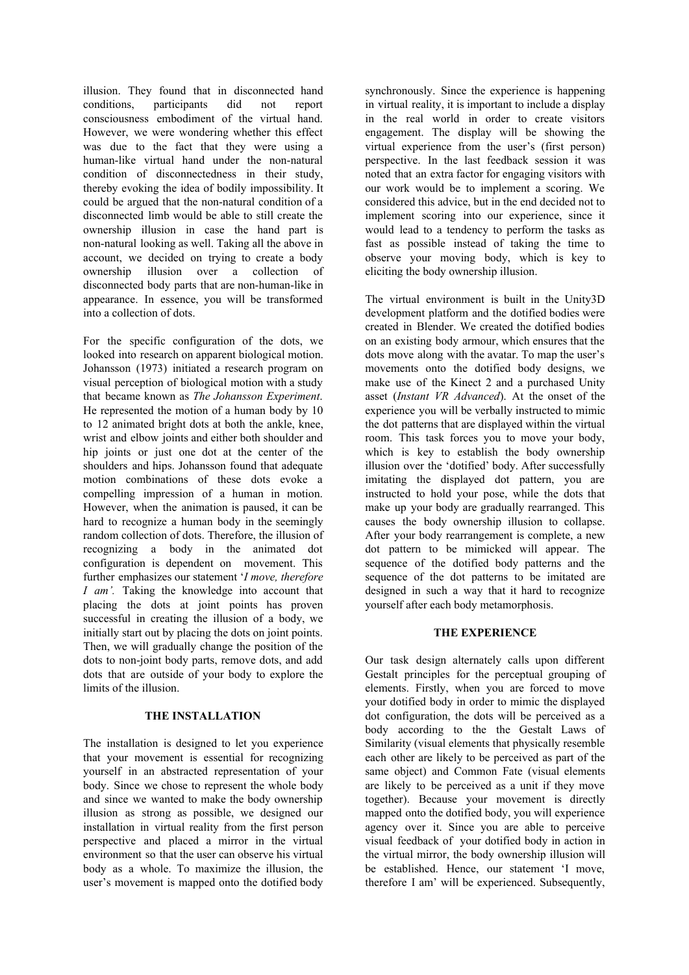illusion. They found that in disconnected hand conditions, participants did not report consciousness embodiment of the virtual hand. However, we were wondering whether this effect was due to the fact that they were using a human-like virtual hand under the non-natural condition of disconnectedness in their study, thereby evoking the idea of bodily impossibility. It could be argued that the non-natural condition of a disconnected limb would be able to still create the ownership illusion in case the hand part is non-natural looking as well. Taking all the above in account, we decided on trying to create a body ownership illusion over a collection of disconnected body parts that are non-human-like in appearance. In essence, you will be transformed into a collection of dots.

For the specific configuration of the dots, we looked into research on apparent biological motion. Johansson (1973) initiated a research program on visual perception of biological motion with a study that became known as *The Johansson Experiment*. He represented the motion of a human body by 10 to 12 animated bright dots at both the ankle, knee, wrist and elbow joints and either both shoulder and hip joints or just one dot at the center of the shoulders and hips. Johansson found that adequate motion combinations of these dots evoke a compelling impression of a human in motion. However, when the animation is paused, it can be hard to recognize a human body in the seemingly random collection of dots. Therefore, the illusion of recognizing a body in the animated dot configuration is dependent on movement. This further emphasizes our statement '*I move, therefore I am'.* Taking the knowledge into account that placing the dots at joint points has proven successful in creating the illusion of a body, we initially start out by placing the dots on joint points. Then, we will gradually change the position of the dots to non-joint body parts, remove dots, and add dots that are outside of your body to explore the limits of the illusion.

## **THE INSTALLATION**

The installation is designed to let you experience that your movement is essential for recognizing yourself in an abstracted representation of your body. Since we chose to represent the whole body and since we wanted to make the body ownership illusion as strong as possible, we designed our installation in virtual reality from the first person perspective and placed a mirror in the virtual environment so that the user can observe his virtual body as a whole. To maximize the illusion, the user's movement is mapped onto the dotified body synchronously. Since the experience is happening in virtual reality, it is important to include a display in the real world in order to create visitors engagement. The display will be showing the virtual experience from the user's (first person) perspective. In the last feedback session it was noted that an extra factor for engaging visitors with our work would be to implement a scoring. We considered this advice, but in the end decided not to implement scoring into our experience, since it would lead to a tendency to perform the tasks as fast as possible instead of taking the time to observe your moving body, which is key to eliciting the body ownership illusion.

The virtual environment is built in the Unity3D development platform and the dotified bodies were created in Blender. We created the dotified bodies on an existing body armour, which ensures that the dots move along with the avatar. To map the user's movements onto the dotified body designs, we make use of the Kinect 2 and a purchased Unity asset (*Instant VR Advanced*). At the onset of the experience you will be verbally instructed to mimic the dot patterns that are displayed within the virtual room. This task forces you to move your body, which is key to establish the body ownership illusion over the 'dotified' body. After successfully imitating the displayed dot pattern, you are instructed to hold your pose, while the dots that make up your body are gradually rearranged. This causes the body ownership illusion to collapse. After your body rearrangement is complete, a new dot pattern to be mimicked will appear. The sequence of the dotified body patterns and the sequence of the dot patterns to be imitated are designed in such a way that it hard to recognize yourself after each body metamorphosis.

#### **THE EXPERIENCE**

Our task design alternately calls upon different Gestalt principles for the perceptual grouping of elements. Firstly, when you are forced to move your dotified body in order to mimic the displayed dot configuration, the dots will be perceived as a body according to the the Gestalt Laws of Similarity (visual elements that physically resemble each other are likely to be perceived as part of the same object) and Common Fate (visual elements are likely to be perceived as a unit if they move together). Because your movement is directly mapped onto the dotified body, you will experience agency over it. Since you are able to perceive visual feedback of your dotified body in action in the virtual mirror, the body ownership illusion will be established. Hence, our statement 'I move, therefore I am' will be experienced. Subsequently,